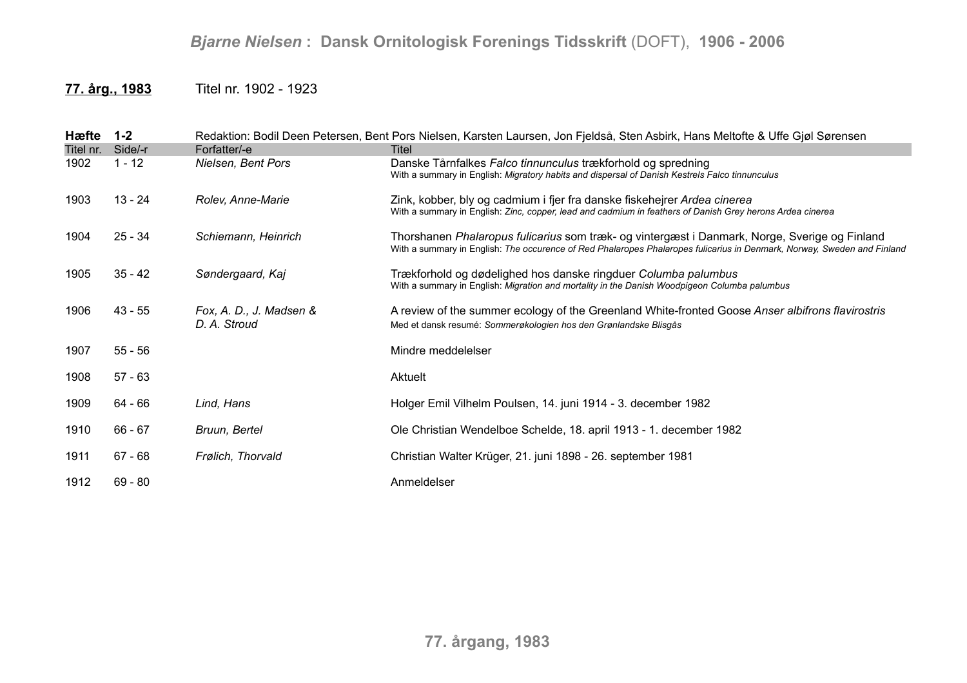## *Bjarne Nielsen* **: Dansk Ornitologisk Forenings Tidsskrift** (DOFT), **1906 - 2006**

## **77. årg., 1983** Titel nr. 1902 - 1923

| Hæfte     | $1 - 2$   |                                         | Redaktion: Bodil Deen Petersen, Bent Pors Nielsen, Karsten Laursen, Jon Fjeldså, Sten Asbirk, Hans Meltofte & Uffe Gjøl Sørensen                                                                                         |
|-----------|-----------|-----------------------------------------|--------------------------------------------------------------------------------------------------------------------------------------------------------------------------------------------------------------------------|
| Titel nr. | Side/-r   | Forfatter/-e                            | Titel                                                                                                                                                                                                                    |
| 1902      | $1 - 12$  | Nielsen, Bent Pors                      | Danske Tårnfalkes Falco tinnunculus trækforhold og spredning<br>With a summary in English: Migratory habits and dispersal of Danish Kestrels Falco tinnunculus                                                           |
| 1903      | $13 - 24$ | Rolev, Anne-Marie                       | Zink, kobber, bly og cadmium i fjer fra danske fiskehejrer Ardea cinerea<br>With a summary in English: Zinc, copper, lead and cadmium in feathers of Danish Grey herons Ardea cinerea                                    |
| 1904      | $25 - 34$ | Schiemann, Heinrich                     | Thorshanen Phalaropus fulicarius som træk- og vintergæst i Danmark, Norge, Sverige og Finland<br>With a summary in English: The occurence of Red Phalaropes Phalaropes fulicarius in Denmark, Norway, Sweden and Finland |
| 1905      | $35 - 42$ | Søndergaard, Kaj                        | Trækforhold og dødelighed hos danske ringduer Columba palumbus<br>With a summary in English: Migration and mortality in the Danish Woodpigeon Columba palumbus                                                           |
| 1906      | $43 - 55$ | Fox, A. D., J. Madsen &<br>D. A. Stroud | A review of the summer ecology of the Greenland White-fronted Goose Anser albifrons flavirostris<br>Med et dansk resumé: Sommerøkologien hos den Grønlandske Blisgås                                                     |
| 1907      | $55 - 56$ |                                         | Mindre meddelelser                                                                                                                                                                                                       |
| 1908      | $57 - 63$ |                                         | Aktuelt                                                                                                                                                                                                                  |
| 1909      | 64 - 66   | Lind, Hans                              | Holger Emil Vilhelm Poulsen, 14. juni 1914 - 3. december 1982                                                                                                                                                            |
| 1910      | 66 - 67   | Bruun, Bertel                           | Ole Christian Wendelboe Schelde, 18. april 1913 - 1. december 1982                                                                                                                                                       |
| 1911      | $67 - 68$ | Frølich, Thorvald                       | Christian Walter Krüger, 21. juni 1898 - 26. september 1981                                                                                                                                                              |
| 1912      | $69 - 80$ |                                         | Anmeldelser                                                                                                                                                                                                              |